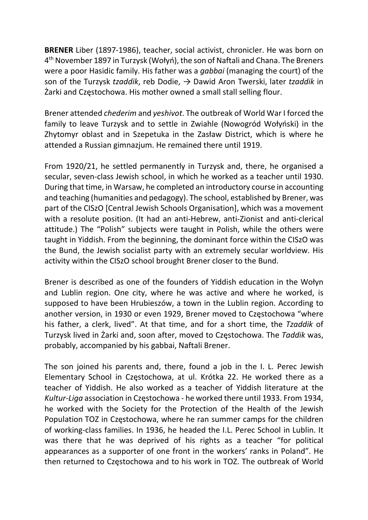BRENER Liber (1897-1986), teacher, social activist, chronicler. He was born on 4 th November 1897 in Turzysk (Wołyń), the son of Naftali and Chana. The Breners were a poor Hasidic family. His father was a gabbai (managing the court) of the son of the Turzysk tzaddik, reb Dodie,  $\rightarrow$  Dawid Aron Twerski, later tzaddik in Żarki and Częstochowa. His mother owned a small stall selling flour.

Brener attended chederim and yeshivot. The outbreak of World War I forced the family to leave Turzysk and to settle in Zwiahle (Nowogród Wołyński) in the Zhytomyr oblast and in Szepetuka in the Zasław District, which is where he attended a Russian gimnazjum. He remained there until 1919.

From 1920/21, he settled permanently in Turzysk and, there, he organised a secular, seven-class Jewish school, in which he worked as a teacher until 1930. During that time, in Warsaw, he completed an introductory course in accounting and teaching (humanities and pedagogy). The school, established by Brener, was part of the CISzO [Central Jewish Schools Organisation], which was a movement with a resolute position. (It had an anti-Hebrew, anti-Zionist and anti-clerical attitude.) The "Polish" subjects were taught in Polish, while the others were taught in Yiddish. From the beginning, the dominant force within the CISzO was the Bund, the Jewish socialist party with an extremely secular worldview. His activity within the CISzO school brought Brener closer to the Bund.

Brener is described as one of the founders of Yiddish education in the Wołyn and Lublin region. One city, where he was active and where he worked, is supposed to have been Hrubieszów, a town in the Lublin region. According to another version, in 1930 or even 1929, Brener moved to Częstochowa "where his father, a clerk, lived". At that time, and for a short time, the Tzaddik of Turzysk lived in Żarki and, soon after, moved to Częstochowa. The Taddik was, probably, accompanied by his gabbai, Naftali Brener.

The son joined his parents and, there, found a job in the I. L. Perec Jewish Elementary School in Częstochowa, at ul. Krótka 22. He worked there as a teacher of Yiddish. He also worked as a teacher of Yiddish literature at the Kultur-Liga association in Częstochowa - he worked there until 1933. From 1934, he worked with the Society for the Protection of the Health of the Jewish Population TOZ in Częstochowa, where he ran summer camps for the children of working-class families. In 1936, he headed the I.L. Perec School in Lublin. It was there that he was deprived of his rights as a teacher "for political appearances as a supporter of one front in the workers' ranks in Poland". He then returned to Częstochowa and to his work in TOZ. The outbreak of World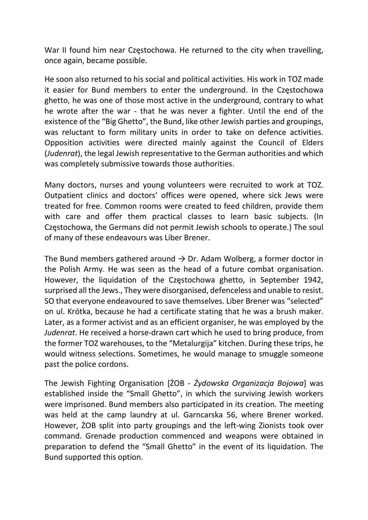War II found him near Częstochowa. He returned to the city when travelling, once again, became possible.

He soon also returned to his social and political activities. His work in TOZ made it easier for Bund members to enter the underground. In the Częstochowa ghetto, he was one of those most active in the underground, contrary to what he wrote after the war - that he was never a fighter. Until the end of the existence of the "Big Ghetto", the Bund, like other Jewish parties and groupings, was reluctant to form military units in order to take on defence activities. Opposition activities were directed mainly against the Council of Elders (Judenrat), the legal Jewish representative to the German authorities and which was completely submissive towards those authorities.

Many doctors, nurses and young volunteers were recruited to work at TOZ. Outpatient clinics and doctors' offices were opened, where sick Jews were treated for free. Common rooms were created to feed children, provide them with care and offer them practical classes to learn basic subjects. (In Częstochowa, the Germans did not permit Jewish schools to operate.) The soul of many of these endeavours was Liber Brener.

The Bund members gathered around  $\rightarrow$  Dr. Adam Wolberg, a former doctor in the Polish Army. He was seen as the head of a future combat organisation. However, the liquidation of the Częstochowa ghetto, in September 1942, surprised all the Jews., They were disorganised, defenceless and unable to resist. SO that everyone endeavoured to save themselves. Liber Brener was "selected" on ul. Krótka, because he had a certificate stating that he was a brush maker. Later, as a former activist and as an efficient organiser, he was employed by the Judenrat. He received a horse-drawn cart which he used to bring produce, from the former TOZ warehouses, to the "Metalurgija" kitchen. During these trips, he would witness selections. Sometimes, he would manage to smuggle someone past the police cordons.

The Jewish Fighting Organisation [ŻOB - Żydowska Organizacja Bojowa] was established inside the "Small Ghetto", in which the surviving Jewish workers were imprisoned. Bund members also participated in its creation. The meeting was held at the camp laundry at ul. Garncarska 56, where Brener worked. However, ŻOB split into party groupings and the left-wing Zionists took over command. Grenade production commenced and weapons were obtained in preparation to defend the "Small Ghetto" in the event of its liquidation. The Bund supported this option.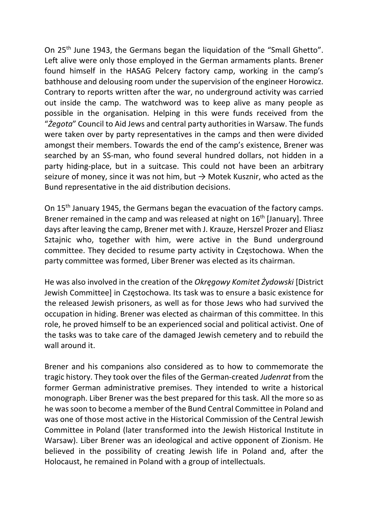On 25<sup>th</sup> June 1943, the Germans began the liquidation of the "Small Ghetto". Left alive were only those employed in the German armaments plants. Brener found himself in the HASAG Pelcery factory camp, working in the camp's bathhouse and delousing room under the supervision of the engineer Horowicz. Contrary to reports written after the war, no underground activity was carried out inside the camp. The watchword was to keep alive as many people as possible in the organisation. Helping in this were funds received from the "Żegota" Council to Aid Jews and central party authorities in Warsaw. The funds were taken over by party representatives in the camps and then were divided amongst their members. Towards the end of the camp's existence, Brener was searched by an SS-man, who found several hundred dollars, not hidden in a party hiding-place, but in a suitcase. This could not have been an arbitrary seizure of money, since it was not him, but  $\rightarrow$  Motek Kusznir, who acted as the Bund representative in the aid distribution decisions.

On 15th January 1945, the Germans began the evacuation of the factory camps. Brener remained in the camp and was released at night on 16<sup>th</sup> [January]. Three days after leaving the camp, Brener met with J. Krauze, Herszel Prozer and Eliasz Sztajnic who, together with him, were active in the Bund underground committee. They decided to resume party activity in Częstochowa. When the party committee was formed, Liber Brener was elected as its chairman.

He was also involved in the creation of the Okregowy Komitet Żydowski [District] Jewish Committee] in Częstochowa. Its task was to ensure a basic existence for the released Jewish prisoners, as well as for those Jews who had survived the occupation in hiding. Brener was elected as chairman of this committee. In this role, he proved himself to be an experienced social and political activist. One of the tasks was to take care of the damaged Jewish cemetery and to rebuild the wall around it.

Brener and his companions also considered as to how to commemorate the tragic history. They took over the files of the German-created Judenrat from the former German administrative premises. They intended to write a historical monograph. Liber Brener was the best prepared for this task. All the more so as he was soon to become a member of the Bund Central Committee in Poland and was one of those most active in the Historical Commission of the Central Jewish Committee in Poland (later transformed into the Jewish Historical Institute in Warsaw). Liber Brener was an ideological and active opponent of Zionism. He believed in the possibility of creating Jewish life in Poland and, after the Holocaust, he remained in Poland with a group of intellectuals.